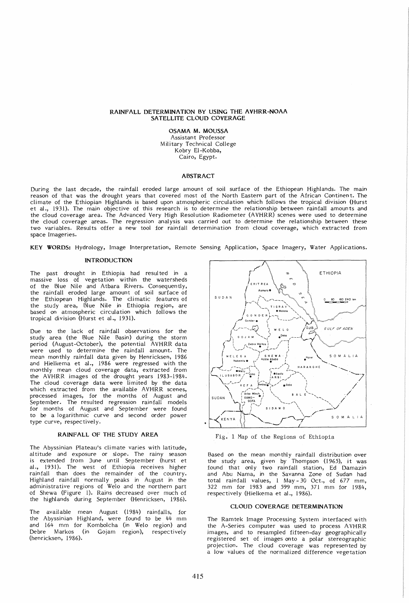#### RAINFALL DETERMINATION BY USING THE AVHRR-NOAA SATELLITE CLOUD COVERAGE

OSAMA M. MOUSSA Assistant Professor Military Technical College Kobry EI-Kobba, Cairo, Egypt.

## ABSTRACT

During the last decade, the rainfall eroded large amount of soil surface of the Ethiopean Highlands. The main reason of that was the drought years that covered most of the North Eastern part of the African Continent. The climate of the Ethiopian Highlands is based upon atmospheric circulation which follows the tropical division (Hurst<br>et al., 1931). The main objective of this research is to determine the relationship between rainfall amoun the cloud coverage area. The Advanced Very High Resolution Radiometer (AVHRR) scenes were used to determine the cloud coverage areas. The regression analysis was carried out to determine the relationship between these two variables. Results offer a new tool for rainfall determination from cloud coverage, which extracted from space Imageries.

KEY WORDS: Hydrology, Image Interpretation, Remote Sensing Application, Space Imagery, Water Applications.

## INTRODUCTION

The past drought in Ethiopia had resulted in a massive loss of vegetation within the watersheds of the Blue Nile and Atbara Rivers. Consequently, the rainfall eroded large amount of soil surface of the Ethiopean Highlands. The climatic features of the study area, Blue Nile in Ethiopia region, are based on atmospheric circulation which follows the tropical division (Hurst et al., 1931).

Due to the lack of rainfall observations for the study area (the Blue Nile Basin) during the storm period (August-October), the potential AVHRR data were used to determine the rainfall amount. The mean monthly rainfall data given by Henricksen, 1986 and Hielkema et al., 1986 were regressed with the monthly mean cloud coverage data, extracted from the AVHRR images of the drought years 1983-1984. The cloud coverage data were limited by the data which extracted from the available AVHRR scenes, processed images, for the months of August and September. The resulted regression rainfall models for months of August and September were found to be a logariithmic curve and second order power type curve, respectively.

### RAINF ALL OF THE STUDY AREA

The Abyssinian Plateau's climate varies with latitude, al titude and exposure or slope. The rainy season is extended from June until September (hurst et al., 1931). The west of Ethiopia receives higher rainfall than does the remainder of the country. Highland rainfall normally peaks in August in the administrative regions of Welo and the northern part of Shewa (Figure 1). Rains decreased over much of the highlands during September (Henricksen, 1986).

The available mean August (1984) rainfalls, for the Abyssinian Highland, were found to be 44 mm and 164 mm for Kombolcha (in Welo region) and Debre Markos (in Gojam region), respectively (henricksen, 1986).



Fig. 1 Map of the Regions of Ethiopia

Based on the mean monthly rainfall distribution over the study area, given by Thompson (1965), it was found that only two rainfall station, Ed Damazin and Abu Nama, in the Savanna Zone of Sudan had total rainfall values, 1 May - 30 Oct., of 677 mm, 322 mm for 1983 and 599 mm, 371 mm for 1984, respectively (Hielkema et al., 1986).

# CLOUD COVERAGE DETERMINATION

The Ramtek Image Processing System interfaced with the A-Series computer was used to process AVHRR images, and to resampled fifteen-day geographically registered set of images onto a polar stereographic projection. The cloud coverage was represented by a low values of the normalized difference vegetation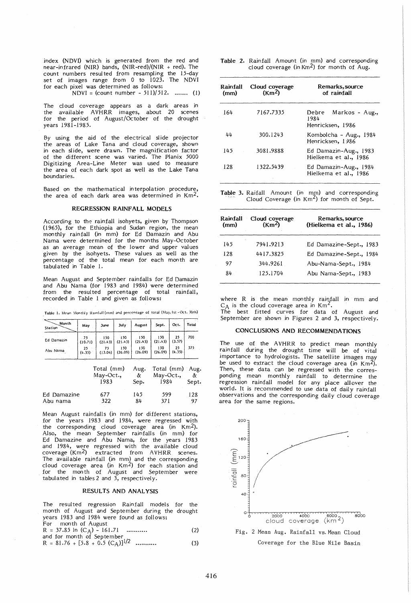index (NDV!) which is generated from the red and near-infrared (NIR) bands, (NIR-red)/(NIR + red). The count numbers resulted from resampling the 15-day set of images range from 0 to 1023. The NDVI for each pixel was determined as follows:

 $N$ DVI = (count number - 511)/512. ....... (1)

The cloud coverage appears as a dark areas in the available AVHRR images, about 20 scenes for the period of August/October of the drought years 1981-1985.

By using the aid of the electrical slide projector the areas of Lake Tana and cloud coverage, shown in each slide, were drawn. The magnification factor of the different scene was varied. The Planix 5000 Digitizing Area-Line Meter was used to measure the area of each dark spot as well as the Lake Tana boundaries.

Based on the mathematical interpolation procedure, the area of each dark area was determined in Km2.

### REGRESSION RAINFALL MODELS

According to the rainfall isohyets, given by Thompson (1965), for the Ethiopia and Sudan region, the mean monthly rainfall (in mm) for Ed Damazin and Abu Nama were determined for the months May-October as an average mean of the lower and upper values given by the isohyets. These values as well as the percentage of the total mean for each month are tabulated in Table 1.

Mean August and September rainfalls for Ed Damazin and Abu Nama (for 1983 and 1984) were determined from the resulted percentage of total rainfall, recorded *in* Table 1 and given as follows:

| Month<br>Station | May             | <b>June</b>    | Jul v          | August         | Sept.          | Oct.         | Total |
|------------------|-----------------|----------------|----------------|----------------|----------------|--------------|-------|
| Ed Damazin       | - 75<br>(10.71) | 150<br>(21.43) | 150<br>(21.43) | 150<br>(21.43) | 150<br>(21.43) | 25<br>(3.57) | 700   |
| Abu Nama         | 25<br>(4.35)    | 75<br>(13.04)  | 150<br>(26.09) | 150<br>(26.09) | 150<br>(26.09) | 25<br>(4.35) | 575   |

|             | Total (mm)<br>May-Oct.,<br>1983 | Aug.<br>å<br>Sep. | Total (mm) Aug.<br>May-Oct.,<br>1984 | å<br>Sept. |
|-------------|---------------------------------|-------------------|--------------------------------------|------------|
| Ed Damazine | 677                             | 145               | 599                                  | 128        |
| Abu nama    | 322                             | 84                | 371                                  | 97         |

Mean August rainfalls (in mm) for different stations, for the years 1983 and 1984, were regressed with the corresponding cloud coverage area (in Km2). Also, the mean September rainfalls (in mm) for Ed Damazine and Abu Nama, for the years 1983 and 1984, were regressed with the available cloud coverage (Km2) extracted from AVHRR scenes. The available rainfall (in mm) and the corresponding cloud coverage area (in  $\text{Km}^2$ ) for each station and for the month of August and September were tabulated in tables  $2$  and  $3$ , respectively.

### RESULTS AND ANALYSIS

The resulted regression Rainfall models for the month of August and September during the drought years 1983 and 1984 were found as follows: For month of August R = 37.85 In (CA) - 161.71 (2)

| and for month of September            |         |
|---------------------------------------|---------|
| $R = 81.76 + [5.8 + 0.5 (C_A)]^{1/2}$ | <br>(3) |

|  |  |  | Table 2. Rainfall Amount (in mm) and corresponding |
|--|--|--|----------------------------------------------------|
|  |  |  | cloud coverage (in $Km2$ ) for month of Aug.       |

| Rainfall<br>(mm) | Cloud coverage<br>(Km <sup>2</sup> ) | Remarks, source<br>of rainfall                   |
|------------------|--------------------------------------|--------------------------------------------------|
| 164              | 7167.7335                            | Debre Markos - Aug.,<br>1984<br>Henricksen, 1986 |
| 44               | 300.1243                             | Kombolcha - Aug., 1984<br>Henricksen, 1986       |
| 145              | 3081.9888                            | Ed Damazin-Aug., 1983<br>Hielkema et al., 1986   |
| 128              | 1322.5439                            | Ed Damazin-Aug., 1984<br>Hielkema et al., 1986   |

Table 3. Raifall Amount (in mm) and corresponding Cloud Coverage (in  $Km<sup>2</sup>$ ) for month of Sept.

| Rainfall<br>(mm) | Cloud coverage $(Km^2)$ | Remarks, source<br>(Hielkema et al., 1986) |
|------------------|-------------------------|--------------------------------------------|
| 145              | 7941.9213               | Ed Damazine-Sept., 1983                    |
| 128              | 4417.3825               | Ed Damazine-Sept., 1984                    |
| 97               | 344.9261                | Abu-Nama-Sept., 1984                       |
| 84               | 125.1704                | Abu Nama-Sept., 1983                       |

where R is the mean monthly rainfall in mm and  $C_A$  is the cloud coverage area in  $Km^2$ .

The best fitted curves for data of August and September are shown in Figures 2 and 3, respectively.

### CONCLUSIONS AND RECOMMENDATIONS

The use of the AVHRR to predict mean monthly rainfall during the drought time will be of vital importance to hydrologists. The satellite images may be used to extract the cloud coverage area (in  $Km^2$ ). Then, these data can be regressed with the corresponding mean monthly rainfall to determine the regression rainfal1 model for any place allover the world. It is recommended to use data of daily rainfall observations and the corresponding daily cloud coverage area for the same regions.



Coverage for the Blue Nile Basin